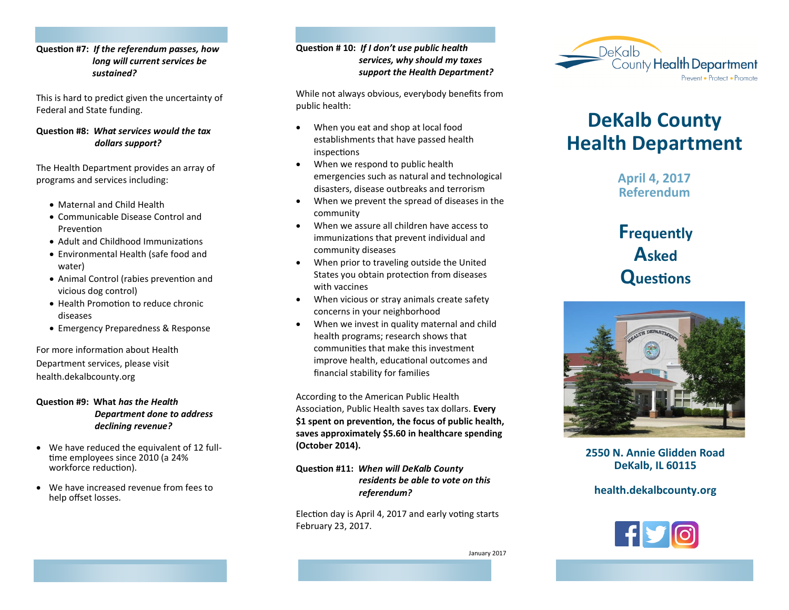## **Question #7:** *If the referendum passes, how long will current services be sustained?*

This is hard to predict given the uncertainty of Federal and State funding.

## **Question #8:** *What services would the tax dollars support?*

The Health Department provides an array of programs and services including:

- Maternal and Child Health
- Communicable Disease Control and Prevention
- Adult and Childhood Immunizations
- Environmental Health (safe food and water)
- Animal Control (rabies prevention and vicious dog control)
- Health Promotion to reduce chronic diseases
- Emergency Preparedness & Response

For more information about Health Department services, please visit health.dekalbcounty.org

## **Question #9: What** *has the Health Department done to address declining revenue?*

- We have reduced the equivalent of 12 fulltime employees since 2010 (a 24% workforce reduction).
- We have increased revenue from fees to help offset losses.

## **Question # 10:** *If I don't use public health services, why should my taxes support the Health Department?*

While not always obvious, everybody benefits from public health:

- When you eat and shop at local food establishments that have passed health inspections
- When we respond to public health emergencies such as natural and technological disasters, disease outbreaks and terrorism
- When we prevent the spread of diseases in the community
- When we assure all children have access to immunizations that prevent individual and community diseases
- When prior to traveling outside the United States you obtain protection from diseases with vaccines
- When vicious or stray animals create safety concerns in your neighborhood
- When we invest in quality maternal and child health programs; research shows that communities that make this investment improve health, educational outcomes and financial stability for families

According to the American Public Health Association, Public Health saves tax dollars. **Every \$1 spent on prevention, the focus of public health, saves approximately \$5.60 in healthcare spending (October 2014).** 

## **Question #11:** *When will DeKalb County residents be able to vote on this referendum?*

Election day is April 4, 2017 and early voting starts February 23, 2017.



# **DeKalb County Health Department**

**April 4, 2017 Referendum**

## **Frequently Asked Questions**



**2550 N. Annie Glidden Road DeKalb, IL 60115**

## **health.dekalbcounty.org**



January 2017